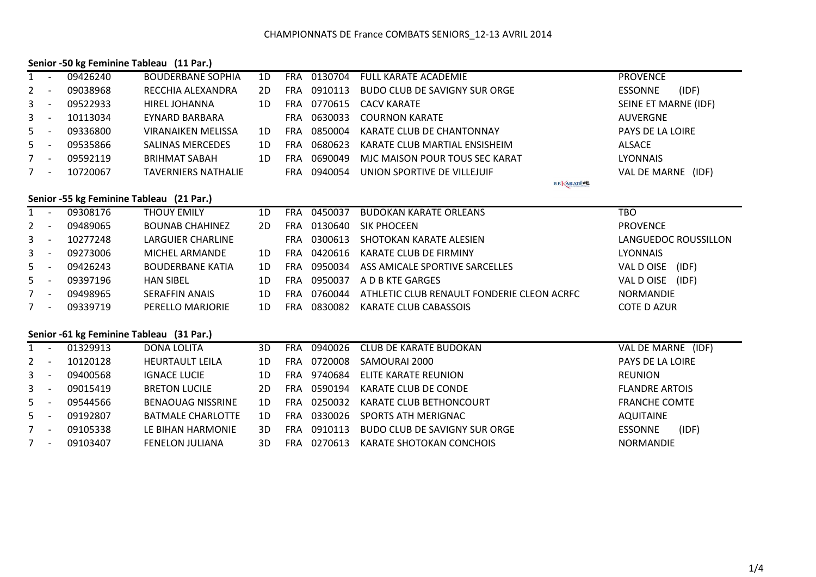#### **Senior -50 kg Feminine Tableau (11 Par.)**

| 1                     |                          | 09426240                                 | <b>BOUDERBANE SOPHIA</b>   | 1D | <b>FRA</b> | 0130704 | <b>FULL KARATE ACADEMIE</b>                | <b>PROVENCE</b>         |
|-----------------------|--------------------------|------------------------------------------|----------------------------|----|------------|---------|--------------------------------------------|-------------------------|
| 2                     | $\overline{\phantom{a}}$ | 09038968                                 | RECCHIA ALEXANDRA          | 2D | <b>FRA</b> | 0910113 | <b>BUDO CLUB DE SAVIGNY SUR ORGE</b>       | (IDF)<br><b>ESSONNE</b> |
| 3                     | $\overline{\phantom{a}}$ | 09522933                                 | <b>HIREL JOHANNA</b>       | 1D | <b>FRA</b> | 0770615 | <b>CACV KARATE</b>                         | SEINE ET MARNE (IDF)    |
| 3                     | $\overline{\phantom{a}}$ | 10113034                                 | EYNARD BARBARA             |    | <b>FRA</b> | 0630033 | <b>COURNON KARATE</b>                      | <b>AUVERGNE</b>         |
| 5                     | $\overline{\phantom{a}}$ | 09336800                                 | <b>VIRANAIKEN MELISSA</b>  | 1D | <b>FRA</b> | 0850004 | KARATE CLUB DE CHANTONNAY                  | PAYS DE LA LOIRE        |
| 5                     | $\overline{a}$           | 09535866                                 | <b>SALINAS MERCEDES</b>    | 1D | <b>FRA</b> | 0680623 | KARATE CLUB MARTIAL ENSISHEIM              | <b>ALSACE</b>           |
| 7                     | $\overline{\phantom{a}}$ | 09592119                                 | <b>BRIHMAT SABAH</b>       | 1D | <b>FRA</b> | 0690049 | MJC MAISON POUR TOUS SEC KARAT             | <b>LYONNAIS</b>         |
| $7^{\circ}$           | $\overline{\phantom{a}}$ | 10720067                                 | <b>TAVERNIERS NATHALIE</b> |    | <b>FRA</b> | 0940054 | UNION SPORTIVE DE VILLEJUIF                | VAL DE MARNE (IDF)      |
|                       |                          |                                          |                            |    |            |         | <b>E.E. ARATÉWA</b>                        |                         |
|                       |                          | Senior -55 kg Feminine Tableau (21 Par.) |                            |    |            |         |                                            |                         |
| 1                     |                          | 09308176                                 | <b>THOUY EMILY</b>         | 1D | <b>FRA</b> | 0450037 | <b>BUDOKAN KARATE ORLEANS</b>              | <b>TBO</b>              |
| $\mathbf{2}^{\prime}$ | $\overline{\phantom{a}}$ | 09489065                                 | <b>BOUNAB CHAHINEZ</b>     | 2D | FRA        | 0130640 | <b>SIK PHOCEEN</b>                         | <b>PROVENCE</b>         |
| 3                     | $\overline{\phantom{a}}$ | 10277248                                 | <b>LARGUIER CHARLINE</b>   |    | <b>FRA</b> | 0300613 | SHOTOKAN KARATE ALESIEN                    | LANGUEDOC ROUSSILLON    |
| 3                     | $\overline{\phantom{a}}$ | 09273006                                 | MICHEL ARMANDE             | 1D | <b>FRA</b> | 0420616 | <b>KARATE CLUB DE FIRMINY</b>              | <b>LYONNAIS</b>         |
| 5                     | $\sim$                   | 09426243                                 | <b>BOUDERBANE KATIA</b>    | 1D | FRA        | 0950034 | ASS AMICALE SPORTIVE SARCELLES             | VAL D OISE (IDF)        |
| 5                     | $\overline{\phantom{a}}$ | 09397196                                 | <b>HAN SIBEL</b>           | 1D | <b>FRA</b> | 0950037 | A D B KTE GARGES                           | VAL D OISE (IDF)        |
| $7^{\circ}$           | $\overline{\phantom{a}}$ | 09498965                                 | <b>SERAFFIN ANAIS</b>      | 1D | <b>FRA</b> | 0760044 | ATHLETIC CLUB RENAULT FONDERIE CLEON ACRFC | <b>NORMANDIE</b>        |
| $7^{\circ}$           | $\overline{\phantom{a}}$ | 09339719                                 | PERELLO MARJORIE           | 1D | FRA        | 0830082 | KARATE CLUB CABASSOIS                      | COTE D AZUR             |
|                       |                          |                                          |                            |    |            |         |                                            |                         |
|                       |                          | Senior -61 kg Feminine Tableau (31 Par.) |                            |    |            |         |                                            |                         |
| $1 -$                 |                          | 01329913                                 | <b>DONA LOLITA</b>         | 3D | <b>FRA</b> | 0940026 | <b>CLUB DE KARATE BUDOKAN</b>              | VAL DE MARNE (IDF)      |
| $\mathbf{2}^{\prime}$ | $\overline{\phantom{a}}$ | 10120128                                 | <b>HEURTAULT LEILA</b>     | 1D | <b>FRA</b> | 0720008 | SAMOURAI 2000                              | PAYS DE LA LOIRE        |
| 3                     | $\overline{\phantom{a}}$ | 09400568                                 | <b>IGNACE LUCIE</b>        | 1D | FRA        | 9740684 | ELITE KARATE REUNION                       | <b>REUNION</b>          |
| 3                     | $\overline{\phantom{a}}$ | 09015419                                 | <b>BRETON LUCILE</b>       | 2D | <b>FRA</b> | 0590194 | KARATE CLUB DE CONDE                       | <b>FLANDRE ARTOIS</b>   |
| 5.                    | $\overline{\phantom{a}}$ | 09544566                                 | <b>BENAOUAG NISSRINE</b>   | 1D | <b>FRA</b> | 0250032 | <b>KARATE CLUB BETHONCOURT</b>             | <b>FRANCHE COMTE</b>    |
| 5                     | $\overline{\phantom{a}}$ | 09192807                                 | <b>BATMALE CHARLOTTE</b>   | 1D | <b>FRA</b> | 0330026 | SPORTS ATH MERIGNAC                        | <b>AQUITAINE</b>        |
| $7^{\circ}$           | $\overline{\phantom{a}}$ | 09105338                                 | LE BIHAN HARMONIE          | 3D | <b>FRA</b> | 0910113 | <b>BUDO CLUB DE SAVIGNY SUR ORGE</b>       | <b>ESSONNE</b><br>(IDF) |
| 7                     |                          | 09103407                                 | <b>FENELON JULIANA</b>     | 3D | <b>FRA</b> | 0270613 | <b>KARATE SHOTOKAN CONCHOIS</b>            | <b>NORMANDIE</b>        |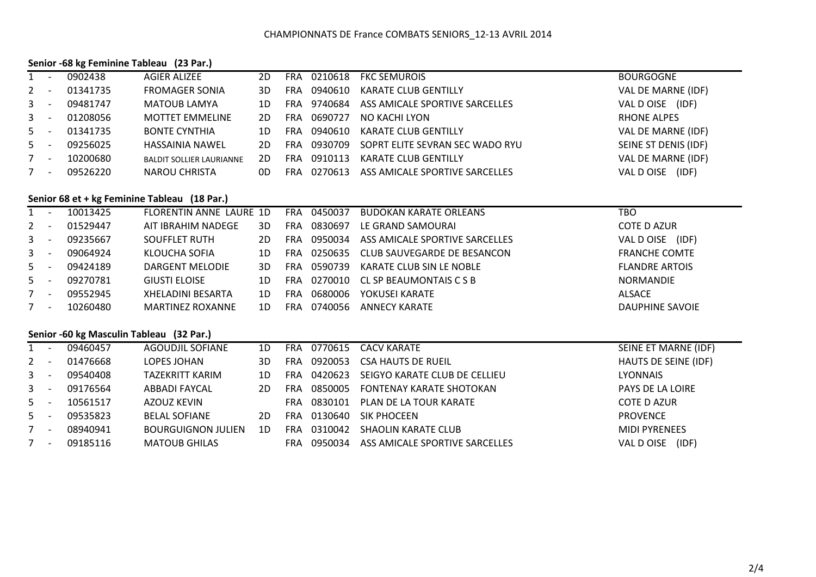#### **Senior -68 kg Feminine Tableau (23 Par.)**

| $1 -$   |                          | 0902438  | <b>AGIER ALIZEE</b>             | 2D. | FRA        | 0210618 | <b>FKC SEMUROIS</b>             | <b>BOURGOGNE</b>     |
|---------|--------------------------|----------|---------------------------------|-----|------------|---------|---------------------------------|----------------------|
| $2 -$   |                          | 01341735 | <b>FROMAGER SONIA</b>           | 3D  | FRA        | 0940610 | <b>KARATE CLUB GENTILLY</b>     | VAL DE MARNE (IDF)   |
| $3 - -$ |                          | 09481747 | MATOUB LAMYA                    | 1D. | <b>FRA</b> | 9740684 | ASS AMICALE SPORTIVE SARCELLES  | VAL D OISE<br>(IDF)  |
| $3 - -$ |                          | 01208056 | <b>MOTTET EMMELINE</b>          | 2D. | <b>FRA</b> | 0690727 | NO KACHI LYON                   | <b>RHONE ALPES</b>   |
| $5 -$   |                          | 01341735 | <b>BONTE CYNTHIA</b>            | 1D. | FRA        | 0940610 | <b>KARATE CLUB GENTILLY</b>     | VAL DE MARNE (IDF)   |
| $5 -$   |                          | 09256025 | <b>HASSAINIA NAWEL</b>          | 2D. | <b>FRA</b> | 0930709 | SOPRT ELITE SEVRAN SEC WADO RYU | SEINE ST DENIS (IDF) |
| $7 -$   |                          | 10200680 | <b>BALDIT SOLLIER LAURIANNE</b> | 2D  | FRA        | 0910113 | <b>KARATE CLUB GENTILLY</b>     | VAL DE MARNE (IDF)   |
|         | $\overline{\phantom{a}}$ | 09526220 | <b>NAROU CHRISTA</b>            | 0D  | FRA        | 0270613 | ASS AMICALE SPORTIVE SARCELLES  | VAL D OISE<br>(IDF)  |

## **Senior 68 et + kg Feminine Tableau (18 Par.)**

| $1 \quad$   | $\overline{\phantom{a}}$ | 10013425 | FLORENTIN ANNE LAURE 1D  |    | <b>FRA</b> | 0450037 | BUDOKAN KARATE ORLEANS         | тво                   |
|-------------|--------------------------|----------|--------------------------|----|------------|---------|--------------------------------|-----------------------|
| $2^{\circ}$ | $\overline{\phantom{a}}$ | 01529447 | AIT IBRAHIM NADEGE       | 3D | FRA        | 0830697 | LE GRAND SAMOURAI              | COTE D AZUR           |
| $3 -$       |                          | 09235667 | <b>SOUFFLET RUTH</b>     | 2D | FRA        | 0950034 | ASS AMICALE SPORTIVE SARCELLES | (IDF)<br>VAL D OISE   |
| $3 -$       |                          | 09064924 | KLOUCHA SOFIA            | 1D | FRA        | 0250635 | CLUB SAUVEGARDE DE BESANCON    | <b>FRANCHE COMTE</b>  |
| $5 -$       |                          | 09424189 | DARGENT MELODIE          | 3D | FRA        | 0590739 | KARATE CLUB SIN LE NOBLE       | <b>FLANDRE ARTOIS</b> |
| $5 -$       |                          | 09270781 | <b>GIUSTI ELOISE</b>     | 1D | FRA        | 0270010 | CL SP BEAUMONTAIS C S B        | <b>NORMANDIE</b>      |
|             | $\overline{\phantom{a}}$ | 09552945 | <b>XHELADINI BESARTA</b> | 1D | FRA        | 0680006 | YOKUSEI KARATE                 | <b>ALSACE</b>         |
|             | $\overline{\phantom{a}}$ | 10260480 | <b>MARTINEZ ROXANNE</b>  | 1D | FRA        | 0740056 | ANNECY KARATE                  | DAUPHINE SAVOIE       |

### **Senior -60 kg Masculin Tableau (32 Par.)**

|         | 09460457 | <b>AGOUDJIL SOFIANE</b>   | 1D | <b>FRA</b> |         | 0770615 CACV KARATE            | SEINE ET MARNE (IDF)    |
|---------|----------|---------------------------|----|------------|---------|--------------------------------|-------------------------|
| $2 -$   | 01476668 | LOPES JOHAN               | 3D | FRA        | 0920053 | <b>CSA HAUTS DE RUEIL</b>      | HAUTS DE SEINE (IDF)    |
| $3 - 5$ | 09540408 | TAZEKRITT KARIM           | 1D | <b>FRA</b> | 0420623 | SEIGYO KARATE CLUB DE CELLIEU  | <b>LYONNAIS</b>         |
| $3 -$   | 09176564 | ABBADI FAYCAL             | 2D | FRA        | 0850005 | FONTENAY KARATE SHOTOKAN       | <b>PAYS DE LA LOIRE</b> |
| $5 -$   | 10561517 | AZOUZ KEVIN               |    | <b>FRA</b> | 0830101 | PLAN DE LA TOUR KARATE         | <b>COTE D AZUR</b>      |
| $5 -$   | 09535823 | <b>BELAL SOFIANE</b>      | 2D | <b>FRA</b> | 0130640 | <b>SIK PHOCEEN</b>             | <b>PROVENCE</b>         |
| $7 -$   | 08940941 | <b>BOURGUIGNON JULIEN</b> | 1D | FRA        | 0310042 | <b>SHAOLIN KARATE CLUB</b>     | <b>MIDI PYRENEES</b>    |
|         | 09185116 | <b>MATOUB GHILAS</b>      |    | <b>FRA</b> | 0950034 | ASS AMICALE SPORTIVE SARCELLES | VAL D OISE (IDF)        |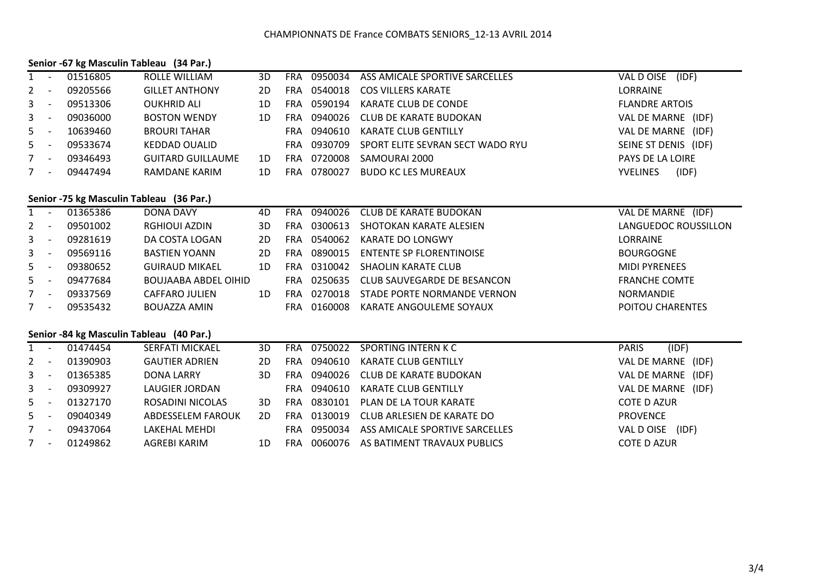### **Senior -67 kg Masculin Tableau (34 Par.)**

| $1 -$   |                          | 01516805 | ROLLE WILLIAM            | 3D  | FRA  | 0950034 | ASS AMICALE SPORTIVE SARCELLES   | (IDF)<br>VAL D OISE      |
|---------|--------------------------|----------|--------------------------|-----|------|---------|----------------------------------|--------------------------|
| $2 -$   |                          | 09205566 | <b>GILLET ANTHONY</b>    | 2D  | FRA  | 0540018 | <b>COS VILLERS KARATE</b>        | <b>LORRAINE</b>          |
| $3 - 5$ |                          | 09513306 | <b>OUKHRID ALI</b>       | 1D. | FRA  | 0590194 | KARATE CLUB DE CONDE             | <b>FLANDRE ARTOIS</b>    |
| $3 - 5$ |                          | 09036000 | <b>BOSTON WENDY</b>      | 1D  | FRA  | 0940026 | CLUB DE KARATE BUDOKAN           | VAL DE MARNE (IDF)       |
| $5 -$   |                          | 10639460 | <b>BROURI TAHAR</b>      |     | FRA. | 0940610 | KARATE CLUB GENTILLY             | VAL DE MARNE<br>(IDF)    |
| $5 -$   |                          | 09533674 | <b>KEDDAD OUALID</b>     |     | FRA. | 0930709 | SPORT ELITE SEVRAN SECT WADO RYU | SEINE ST DENIS (IDF)     |
|         | $\overline{\phantom{a}}$ | 09346493 | <b>GUITARD GUILLAUME</b> | 1D  | FRA  | 0720008 | SAMOURAI 2000                    | <b>PAYS DE LA LOIRE</b>  |
|         | $\overline{\phantom{0}}$ | 09447494 | RAMDANE KARIM            | 1D. | FRA  | 0780027 | <b>BUDO KC LES MUREAUX</b>       | (IDF)<br><b>YVELINES</b> |

# **Senior -75 kg Masculin Tableau (36 Par.)**

|         | $\overline{\phantom{a}}$ | 01365386 | DONA DAVY             | 4D | FRA | 0940026 | CLUB DE KARATE BUDOKAN          | VAL DE MARNE (IDF)      |
|---------|--------------------------|----------|-----------------------|----|-----|---------|---------------------------------|-------------------------|
| $2 -$   |                          | 09501002 | RGHIOUI AZDIN         | 3D | FRA | 0300613 | SHOTOKAN KARATE ALESIEN         | LANGUEDOC ROUSSILLON    |
| $3 - 5$ |                          | 09281619 | DA COSTA LOGAN        | 2D | FRA | 0540062 | KARATE DO LONGWY                | LORRAINE                |
| $3 -$   |                          | 09569116 | <b>BASTIEN YOANN</b>  | 2D | FRA | 0890015 | <b>ENTENTE SP FLORENTINOISE</b> | <b>BOURGOGNE</b>        |
| $5 -$   |                          | 09380652 | <b>GUIRAUD MIKAEL</b> | 1D | FRA | 0310042 | SHAOLIN KARATE CLUB             | <b>MIDI PYRENEES</b>    |
| $5 -$   |                          | 09477684 | BOUJAABA ABDEL OIHID  |    | FRA | 0250635 | CLUB SAUVEGARDE DE BESANCON     | <b>FRANCHE COMTE</b>    |
|         | $\overline{\phantom{a}}$ | 09337569 | CAFFARO JULIEN        | 1D | FRA | 0270018 | STADE PORTE NORMANDE VERNON     | <b>NORMANDIE</b>        |
| $7 -$   |                          | 09535432 | BOUAZZA AMIN          |    | FRA | 0160008 | KARATE ANGOULEME SOYAUX         | <b>POITOU CHARENTES</b> |

### **Senior -84 kg Masculin Tableau (40 Par.)**

| 1     |                          | 01474454 | <b>SERFATI MICKAEL</b> | 3D |            | FRA 0750022 | SPORTING INTERN K C            | (IDF)<br><b>PARIS</b> |
|-------|--------------------------|----------|------------------------|----|------------|-------------|--------------------------------|-----------------------|
| $2 -$ |                          | 01390903 | <b>GAUTIER ADRIEN</b>  | 2D | <b>FRA</b> | 0940610     | KARATE CLUB GENTILLY           | VAL DE MARNE (IDF)    |
| $3 -$ |                          | 01365385 | DONA LARRY             | 3D | <b>FRA</b> | 0940026     | CLUB DE KARATE BUDOKAN         | VAL DE MARNE (IDF)    |
| $3 -$ |                          | 09309927 | LAUGIER JORDAN         |    | FRA        | 0940610     | KARATE CLUB GENTILLY           | VAL DE MARNE (IDF)    |
| $5 -$ |                          | 01327170 | ROSADINI NICOLAS       | 3D | <b>FRA</b> | 0830101     | PLAN DE LA TOUR KARATE         | <b>COTE D AZUR</b>    |
| $5 -$ |                          | 09040349 | ABDESSELEM FAROUK      | 2D | <b>FRA</b> | 0130019     | CLUB ARLESIEN DE KARATE DO     | <b>PROVENCE</b>       |
| $7 -$ |                          | 09437064 | LAKEHAL MEHDI          |    | FRA.       | 0950034     | ASS AMICALE SPORTIVE SARCELLES | (IDF)<br>VAL D OISE   |
| 7     | $\overline{\phantom{a}}$ | 01249862 | AGREBI KARIM           | 1D | <b>FRA</b> | 0060076     | AS BATIMENT TRAVAUX PUBLICS    | <b>COTE D AZUR</b>    |